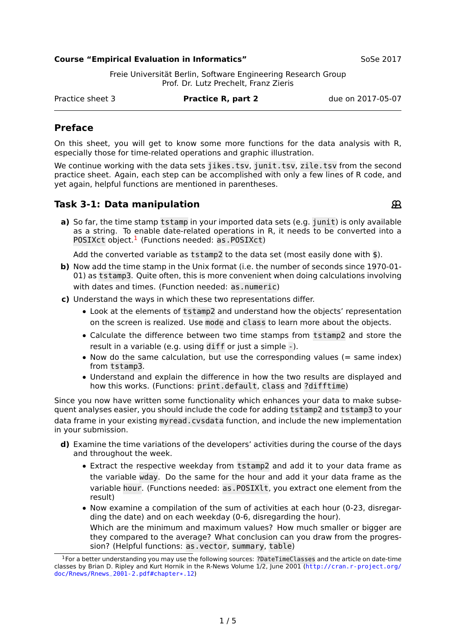#### **Course "Empirical Evaluation in Informatics"** SoSe 2017

Freie Universität Berlin, Software Engineering Research Group Prof. Dr. Lutz Prechelt, Franz Zieris

Practice sheet 3 **Practice R, part 2** due on 2017-05-07

# **Preface**

On this sheet, you will get to know some more functions for the data analysis with R, especially those for time-related operations and graphic illustration.

We continue working with the data sets jikes.tsv, junit.tsv, zile.tsv from the second practice sheet. Again, each step can be accomplished with only a few lines of R code, and yet again, helpful functions are mentioned in parentheses.

## **Task 3-1: Data manipulation**

 $\mathfrak{R}$ 

**a)** So far, the time stamp tstamp in your imported data sets (e.g. junit) is only available as a string. To enable date-related operations in R, it needs to be converted into a POSIXct object.<sup>[1](#page-0-0)</sup> (Functions needed: as.POSIXct)

Add the converted variable as tstamp2 to the data set (most easily done with \$).

- **b)** Now add the time stamp in the Unix format (i.e. the number of seconds since 1970-01- 01) as tstamp3. Quite often, this is more convenient when doing calculations involving with dates and times. (Function needed: as.numeric)
- **c)** Understand the ways in which these two representations differ.
	- **•** Look at the elements of tstamp2 and understand how the objects' representation on the screen is realized. Use mode and class to learn more about the objects.
	- **•** Calculate the difference between two time stamps from tstamp2 and store the result in a variable (e.g. using diff or just a simple -).
	- Now do the same calculation, but use the corresponding values (= same index) from tstamp3.
	- **•** Understand and explain the difference in how the two results are displayed and how this works. (Functions: print.default, class and ?difftime)

Since you now have written some functionality which enhances your data to make subsequent analyses easier, you should include the code for adding tstamp2 and tstamp3 to your data frame in your existing myread.cvsdata function, and include the new implementation in your submission.

- **d)** Examine the time variations of the developers' activities during the course of the days and throughout the week.
	- **•** Extract the respective weekday from tstamp2 and add it to your data frame as the variable wday. Do the same for the hour and add it your data frame as the variable hour. (Functions needed: as.POSIXlt, you extract one element from the result)
	- **•** Now examine a compilation of the sum of activities at each hour (0-23, disregarding the date) and on each weekday (0-6, disregarding the hour). Which are the minimum and maximum values? How much smaller or bigger are they compared to the average? What conclusion can you draw from the progression? (Helpful functions: as.vector, summary, table)

<span id="page-0-0"></span><sup>1</sup>For a better understanding you may use the following sources: ?DateTimeClasses and the article on date-time classes by Brian D. Ripley and Kurt Hornik in the R-News Volume 1/2, June 2001 ([http://cran.r-project.org/](http://cran.r-project.org/doc/Rnews/Rnews_2001-2.pdf#chapter*.12) [doc/Rnews/Rnews\\_2001-2.pdf#chapter\\*.12](http://cran.r-project.org/doc/Rnews/Rnews_2001-2.pdf#chapter*.12))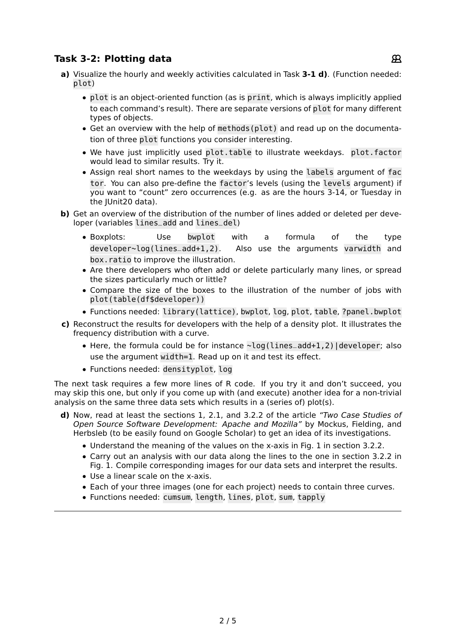# **Task 3-2: Plotting data**

- **a)** Visualize the hourly and weekly activities calculated in Task **3-1 d)**. (Function needed: plot)
	- **•** plot is an object-oriented function (as is print, which is always implicitly applied to each command's result). There are separate versions of plot for many different types of objects.
	- **•** Get an overview with the help of methods(plot) and read up on the documentation of three plot functions you consider interesting.
	- **•** We have just implicitly used plot.table to illustrate weekdays. plot.factor would lead to similar results. Try it.
	- **•** Assign real short names to the weekdays by using the labels argument of fac tor. You can also pre-define the factor's levels (using the levels argument) if you want to "count" zero occurrences (e.g. as are the hours 3-14, or Tuesday in the IUnit20 data).
- **b)** Get an overview of the distribution of the number of lines added or deleted per developer (variables lines\_add and lines\_del)
	- **•** Boxplots: Use bwplot with a formula of the type developer**<sup>∼</sup>**log(lines\_add+1,2). Also use the arguments varwidth and box.ratio to improve the illustration.
	- **•** Are there developers who often add or delete particularly many lines, or spread the sizes particularly much or little?
	- **•** Compare the size of the boxes to the illustration of the number of jobs with plot(table(df\$developer))
	- **•** Functions needed: library(lattice), bwplot, log, plot, table, ?panel.bwplot
- **c)** Reconstruct the results for developers with the help of a density plot. It illustrates the frequency distribution with a curve.
	- **•** Here, the formula could be for instance **<sup>∼</sup>**log(lines\_add+1,2)|developer; also use the argument width=1. Read up on it and test its effect.
	- **•** Functions needed: densityplot, log

The next task requires a few more lines of R code. If you try it and don't succeed, you may skip this one, but only if you come up with (and execute) another idea for a non-trivial analysis on the same three data sets which results in a (series of) plot(s).

- **d)** Now, read at least the sections 1, 2.1, and 3.2.2 of the article "Two Case Studies of Open Source Software Development: Apache and Mozilla" by Mockus, Fielding, and Herbsleb (to be easily found on Google Scholar) to get an idea of its investigations.
	- **•** Understand the meaning of the values on the x-axis in Fig. 1 in section 3.2.2.
	- **•** Carry out an analysis with our data along the lines to the one in section 3.2.2 in Fig. 1. Compile corresponding images for our data sets and interpret the results.
	- **•** Use a linear scale on the x-axis.
	- **•** Each of your three images (one for each project) needs to contain three curves.
	- **•** Functions needed: cumsum, length, lines, plot, sum, tapply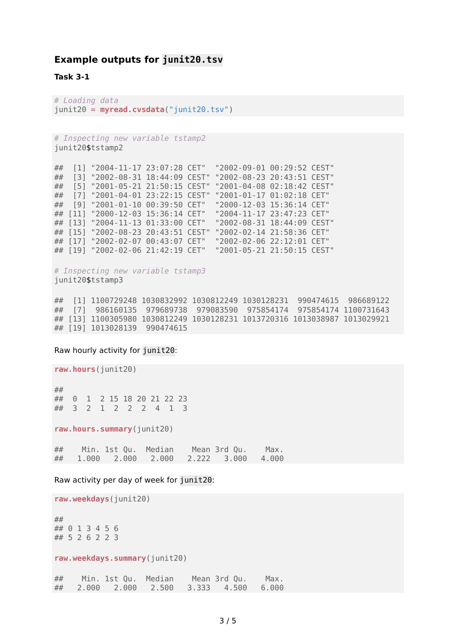#### **Example outputs for junit20.tsv**

**Task 3-1**

# Loading data junit20 = **myread.cvsdata**("junit20.tsv")

```
# Inspecting new variable tstamp2
junit20$tstamp2
```
## [1] "2004-11-17 23:07:28 CET" "2002-09-01 00:29:52 CEST" ## [3] "2002-08-31 18:44:09 CEST" "2002-08-23 20:43:51 CEST" ## [5] "2001-05-21 21:50:15 CEST" "2001-04-08 02:18:42 CEST" ## [7] "2001-04-01 23:22:15 CEST" "2001-01-17 01:02:18 CET" ## [9] "2001-01-10 00:39:50 CET" "2000-12-03 15:36:14 CET" ## [11] "2000-12-03 15:36:14 CET" "2004-11-17 23:47:23 CET" ## [13] "2004-11-13 01:33:00 CET" "2002-08-31 18:44:09 CEST" ## [15] "2002-08-23 20:43:51 CEST" "2002-02-14 21:58:36 CET" ## [17] "2002-02-07 00:43:07 CET" "2002-02-06 22:12:01 CET" ## [19] "2002-02-06 21:42:19 CET" "2001-05-21 21:50:15 CEST"

# Inspecting new variable tstamp3 junit20\$tstamp3

## [1] 1100729248 1030832992 1030812249 1030128231 990474615 986689122 ## [7] 986160135 979689738 979083590 975854174 975854174 1100731643 ## [13] 1100305980 1030812249 1030128231 1013720316 1013038987 1013029921 ## [19] 1013028139 990474615

#### Raw hourly activity for junit20:

**raw.hours**(junit20)

## ## 0 1 2 15 18 20 21 22 23 ## 3 2 1 2 2 2 4 1 3

**raw.hours.summary**(junit20)

## Min. 1st Qu. Median Mean 3rd Qu. Max. ## 1.000 2.000 2.000 2.222 3.000 4.000

Raw activity per day of week for junit20:

**raw.weekdays**(junit20) ## ## 0 1 3 4 5 6 ## 5 2 6 2 2 3 **raw.weekdays.summary**(junit20) ## Min. 1st Qu. Median Mean 3rd Qu. Max. ## 2.000 2.000 2.500 3.333 4.500 6.000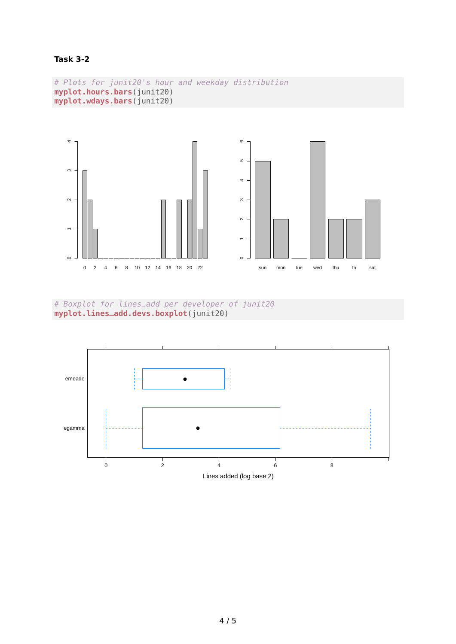### **Task 3-2**

```
# Plots for junit20's hour and weekday distribution
myplot.hours.bars(junit20)
myplot.wdays.bars(junit20)
```


# Boxplot for lines\_add per developer of junit20 **myplot.lines\_add.devs.boxplot**(junit20)